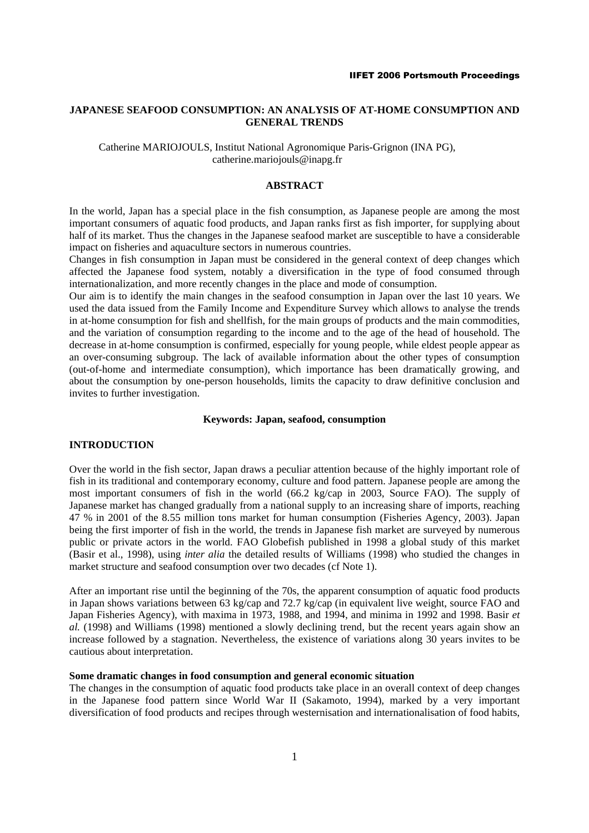# **JAPANESE SEAFOOD CONSUMPTION: AN ANALYSIS OF AT-HOME CONSUMPTION AND GENERAL TRENDS**

Catherine MARIOJOULS, Institut National Agronomique Paris-Grignon (INA PG), catherine.mariojouls@inapg.fr

### **ABSTRACT**

In the world, Japan has a special place in the fish consumption, as Japanese people are among the most important consumers of aquatic food products, and Japan ranks first as fish importer, for supplying about half of its market. Thus the changes in the Japanese seafood market are susceptible to have a considerable impact on fisheries and aquaculture sectors in numerous countries.

Changes in fish consumption in Japan must be considered in the general context of deep changes which affected the Japanese food system, notably a diversification in the type of food consumed through internationalization, and more recently changes in the place and mode of consumption.

Our aim is to identify the main changes in the seafood consumption in Japan over the last 10 years. We used the data issued from the Family Income and Expenditure Survey which allows to analyse the trends in at-home consumption for fish and shellfish, for the main groups of products and the main commodities, and the variation of consumption regarding to the income and to the age of the head of household. The decrease in at-home consumption is confirmed, especially for young people, while eldest people appear as an over-consuming subgroup. The lack of available information about the other types of consumption (out-of-home and intermediate consumption), which importance has been dramatically growing, and about the consumption by one-person households, limits the capacity to draw definitive conclusion and invites to further investigation.

# **Keywords: Japan, seafood, consumption**

### **INTRODUCTION**

Over the world in the fish sector, Japan draws a peculiar attention because of the highly important role of fish in its traditional and contemporary economy, culture and food pattern. Japanese people are among the most important consumers of fish in the world (66.2 kg/cap in 2003, Source FAO). The supply of Japanese market has changed gradually from a national supply to an increasing share of imports, reaching 47 % in 2001 of the 8.55 million tons market for human consumption (Fisheries Agency, 2003). Japan being the first importer of fish in the world, the trends in Japanese fish market are surveyed by numerous public or private actors in the world. FAO Globefish published in 1998 a global study of this market (Basir et al., 1998), using *inter alia* the detailed results of Williams (1998) who studied the changes in market structure and seafood consumption over two decades (cf Note 1).

After an important rise until the beginning of the 70s, the apparent consumption of aquatic food products in Japan shows variations between 63 kg/cap and 72.7 kg/cap (in equivalent live weight, source FAO and Japan Fisheries Agency), with maxima in 1973, 1988, and 1994, and minima in 1992 and 1998. Basir *et al.* (1998) and Williams (1998) mentioned a slowly declining trend, but the recent years again show an increase followed by a stagnation. Nevertheless, the existence of variations along 30 years invites to be cautious about interpretation.

# **Some dramatic changes in food consumption and general economic situation**

The changes in the consumption of aquatic food products take place in an overall context of deep changes in the Japanese food pattern since World War II (Sakamoto, 1994), marked by a very important diversification of food products and recipes through westernisation and internationalisation of food habits,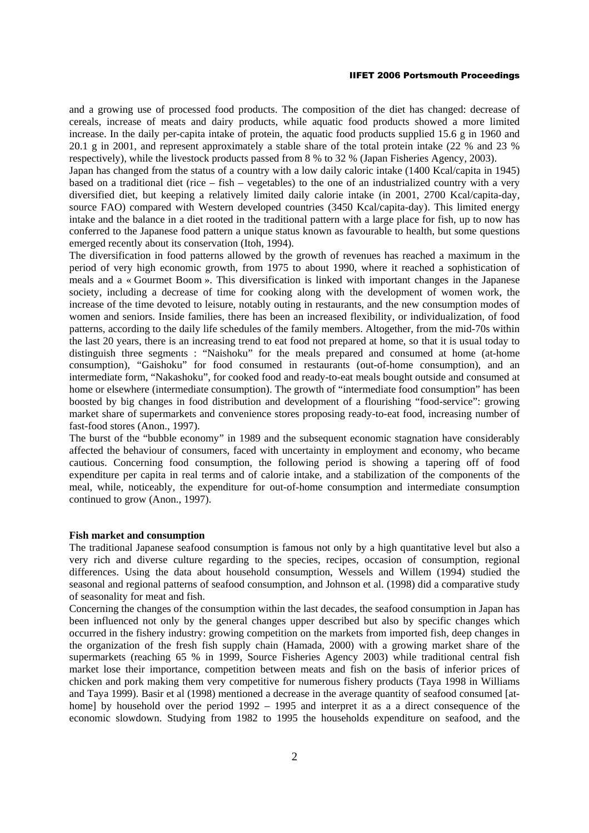and a growing use of processed food products. The composition of the diet has changed: decrease of cereals, increase of meats and dairy products, while aquatic food products showed a more limited increase. In the daily per-capita intake of protein, the aquatic food products supplied 15.6 g in 1960 and 20.1 g in 2001, and represent approximately a stable share of the total protein intake (22 % and 23 % respectively), while the livestock products passed from 8 % to 32 % (Japan Fisheries Agency, 2003).

Japan has changed from the status of a country with a low daily caloric intake (1400 Kcal/capita in 1945) based on a traditional diet (rice – fish – vegetables) to the one of an industrialized country with a very diversified diet, but keeping a relatively limited daily calorie intake (in 2001, 2700 Kcal/capita-day, source FAO) compared with Western developed countries (3450 Kcal/capita-day). This limited energy intake and the balance in a diet rooted in the traditional pattern with a large place for fish, up to now has conferred to the Japanese food pattern a unique status known as favourable to health, but some questions emerged recently about its conservation (Itoh, 1994).

The diversification in food patterns allowed by the growth of revenues has reached a maximum in the period of very high economic growth, from 1975 to about 1990, where it reached a sophistication of meals and a « Gourmet Boom ». This diversification is linked with important changes in the Japanese society, including a decrease of time for cooking along with the development of women work, the increase of the time devoted to leisure, notably outing in restaurants, and the new consumption modes of women and seniors. Inside families, there has been an increased flexibility, or individualization, of food patterns, according to the daily life schedules of the family members. Altogether, from the mid-70s within the last 20 years, there is an increasing trend to eat food not prepared at home, so that it is usual today to distinguish three segments : "Naishoku" for the meals prepared and consumed at home (at-home consumption), "Gaishoku" for food consumed in restaurants (out-of-home consumption), and an intermediate form, "Nakashoku", for cooked food and ready-to-eat meals bought outside and consumed at home or elsewhere (intermediate consumption). The growth of "intermediate food consumption" has been boosted by big changes in food distribution and development of a flourishing "food-service": growing market share of supermarkets and convenience stores proposing ready-to-eat food, increasing number of fast-food stores (Anon., 1997).

The burst of the "bubble economy" in 1989 and the subsequent economic stagnation have considerably affected the behaviour of consumers, faced with uncertainty in employment and economy, who became cautious. Concerning food consumption, the following period is showing a tapering off of food expenditure per capita in real terms and of calorie intake, and a stabilization of the components of the meal, while, noticeably, the expenditure for out-of-home consumption and intermediate consumption continued to grow (Anon., 1997).

### **Fish market and consumption**

The traditional Japanese seafood consumption is famous not only by a high quantitative level but also a very rich and diverse culture regarding to the species, recipes, occasion of consumption, regional differences. Using the data about household consumption, Wessels and Willem (1994) studied the seasonal and regional patterns of seafood consumption, and Johnson et al. (1998) did a comparative study of seasonality for meat and fish.

Concerning the changes of the consumption within the last decades, the seafood consumption in Japan has been influenced not only by the general changes upper described but also by specific changes which occurred in the fishery industry: growing competition on the markets from imported fish, deep changes in the organization of the fresh fish supply chain (Hamada, 2000) with a growing market share of the supermarkets (reaching 65 % in 1999, Source Fisheries Agency 2003) while traditional central fish market lose their importance, competition between meats and fish on the basis of inferior prices of chicken and pork making them very competitive for numerous fishery products (Taya 1998 in Williams and Taya 1999). Basir et al (1998) mentioned a decrease in the average quantity of seafood consumed [athome] by household over the period  $1992 - 1995$  and interpret it as a a direct consequence of the economic slowdown. Studying from 1982 to 1995 the households expenditure on seafood, and the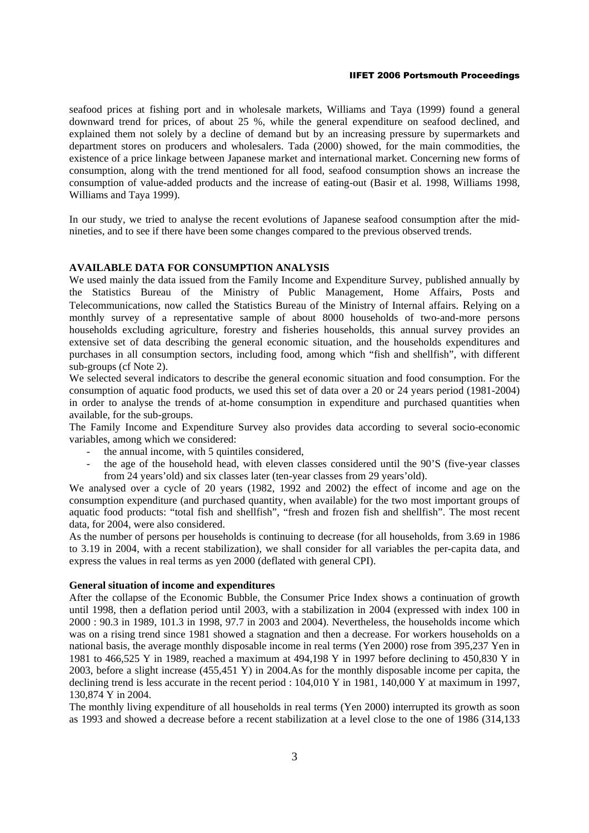seafood prices at fishing port and in wholesale markets, Williams and Taya (1999) found a general downward trend for prices, of about 25 %, while the general expenditure on seafood declined, and explained them not solely by a decline of demand but by an increasing pressure by supermarkets and department stores on producers and wholesalers. Tada (2000) showed, for the main commodities, the existence of a price linkage between Japanese market and international market. Concerning new forms of consumption, along with the trend mentioned for all food, seafood consumption shows an increase the consumption of value-added products and the increase of eating-out (Basir et al. 1998, Williams 1998, Williams and Taya 1999).

In our study, we tried to analyse the recent evolutions of Japanese seafood consumption after the midnineties, and to see if there have been some changes compared to the previous observed trends.

## **AVAILABLE DATA FOR CONSUMPTION ANALYSIS**

We used mainly the data issued from the Family Income and Expenditure Survey, published annually by the Statistics Bureau of the Ministry of Public Management, Home Affairs, Posts and Telecommunications, now called the Statistics Bureau of the Ministry of Internal affairs. Relying on a monthly survey of a representative sample of about 8000 households of two-and-more persons households excluding agriculture, forestry and fisheries households, this annual survey provides an extensive set of data describing the general economic situation, and the households expenditures and purchases in all consumption sectors, including food, among which "fish and shellfish", with different sub-groups (cf Note 2).

We selected several indicators to describe the general economic situation and food consumption. For the consumption of aquatic food products, we used this set of data over a 20 or 24 years period (1981-2004) in order to analyse the trends of at-home consumption in expenditure and purchased quantities when available, for the sub-groups.

The Family Income and Expenditure Survey also provides data according to several socio-economic variables, among which we considered:

- the annual income, with 5 quintiles considered.
- the age of the household head, with eleven classes considered until the 90'S (five-year classes from 24 years'old) and six classes later (ten-year classes from 29 years'old).

We analysed over a cycle of 20 years (1982, 1992 and 2002) the effect of income and age on the consumption expenditure (and purchased quantity, when available) for the two most important groups of aquatic food products: "total fish and shellfish", "fresh and frozen fish and shellfish". The most recent data, for 2004, were also considered.

As the number of persons per households is continuing to decrease (for all households, from 3.69 in 1986 to 3.19 in 2004, with a recent stabilization), we shall consider for all variables the per-capita data, and express the values in real terms as yen 2000 (deflated with general CPI).

### **General situation of income and expenditures**

After the collapse of the Economic Bubble, the Consumer Price Index shows a continuation of growth until 1998, then a deflation period until 2003, with a stabilization in 2004 (expressed with index 100 in 2000 : 90.3 in 1989, 101.3 in 1998, 97.7 in 2003 and 2004). Nevertheless, the households income which was on a rising trend since 1981 showed a stagnation and then a decrease. For workers households on a national basis, the average monthly disposable income in real terms (Yen 2000) rose from 395,237 Yen in 1981 to 466,525 Y in 1989, reached a maximum at 494,198 Y in 1997 before declining to 450,830 Y in 2003, before a slight increase (455,451 Y) in 2004.As for the monthly disposable income per capita, the declining trend is less accurate in the recent period : 104,010 Y in 1981, 140,000 Y at maximum in 1997, 130,874 Y in 2004.

The monthly living expenditure of all households in real terms (Yen 2000) interrupted its growth as soon as 1993 and showed a decrease before a recent stabilization at a level close to the one of 1986 (314,133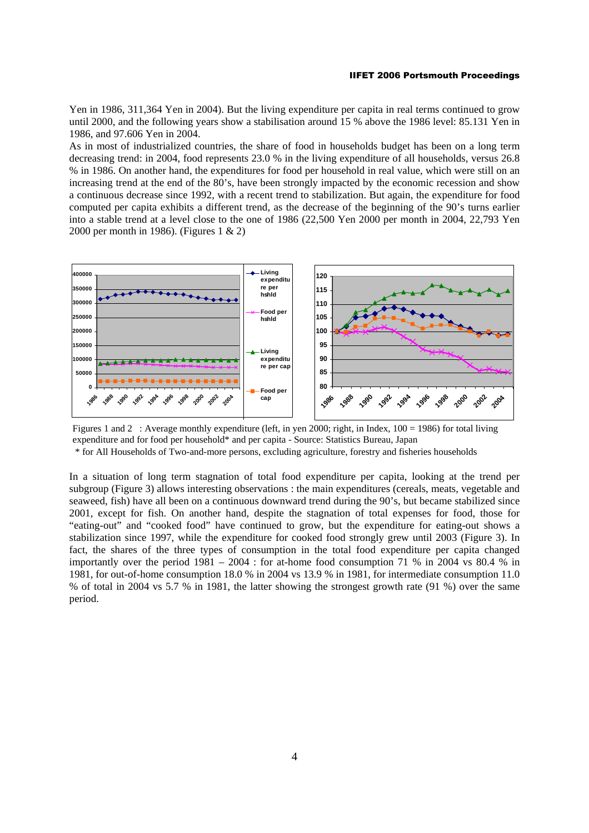Yen in 1986, 311,364 Yen in 2004). But the living expenditure per capita in real terms continued to grow until 2000, and the following years show a stabilisation around 15 % above the 1986 level: 85.131 Yen in 1986, and 97.606 Yen in 2004.

As in most of industrialized countries, the share of food in households budget has been on a long term decreasing trend: in 2004, food represents 23.0 % in the living expenditure of all households, versus 26.8 % in 1986. On another hand, the expenditures for food per household in real value, which were still on an increasing trend at the end of the 80's, have been strongly impacted by the economic recession and show a continuous decrease since 1992, with a recent trend to stabilization. But again, the expenditure for food computed per capita exhibits a different trend, as the decrease of the beginning of the 90's turns earlier into a stable trend at a level close to the one of 1986 (22,500 Yen 2000 per month in 2004, 22,793 Yen 2000 per month in 1986). (Figures 1 & 2)



Figures 1 and 2 : Average monthly expenditure (left, in yen 2000; right, in Index, 100 = 1986) for total living expenditure and for food per household\* and per capita - Source: Statistics Bureau, Japan

\* for All Households of Two-and-more persons, excluding agriculture, forestry and fisheries households

In a situation of long term stagnation of total food expenditure per capita, looking at the trend per subgroup (Figure 3) allows interesting observations : the main expenditures (cereals, meats, vegetable and seaweed, fish) have all been on a continuous downward trend during the 90's, but became stabilized since 2001, except for fish. On another hand, despite the stagnation of total expenses for food, those for "eating-out" and "cooked food" have continued to grow, but the expenditure for eating-out shows a stabilization since 1997, while the expenditure for cooked food strongly grew until 2003 (Figure 3). In fact, the shares of the three types of consumption in the total food expenditure per capita changed importantly over the period 1981 – 2004 : for at-home food consumption 71 % in 2004 vs 80.4 % in 1981, for out-of-home consumption 18.0 % in 2004 vs 13.9 % in 1981, for intermediate consumption 11.0 % of total in 2004 vs 5.7 % in 1981, the latter showing the strongest growth rate (91 %) over the same period.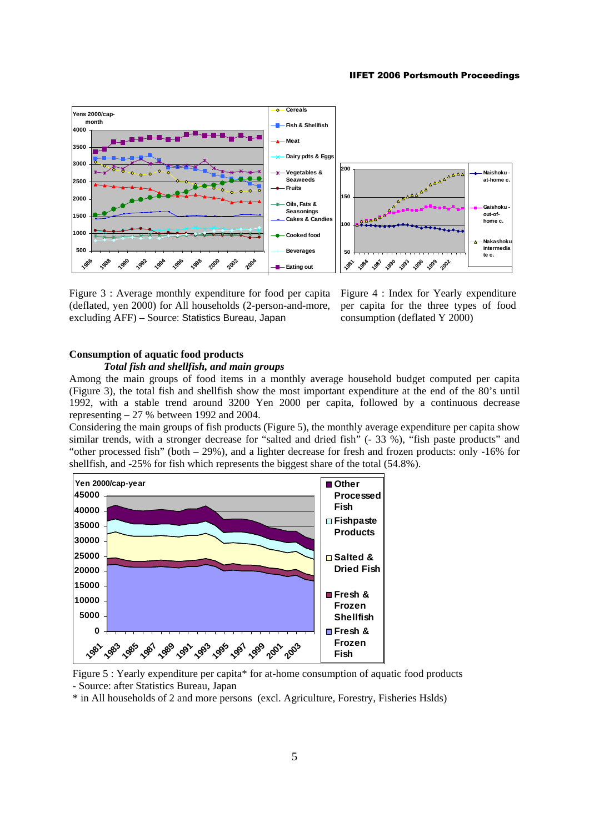

Figure 3 : Average monthly expenditure for food per capita (deflated, yen 2000) for All households (2-person-and-more, excluding AFF) – Source: Statistics Bureau, Japan

Figure 4 : Index for Yearly expenditure per capita for the three types of food consumption (deflated Y 2000)

# **Consumption of aquatic food products**

### *Total fish and shellfish, and main groups*

Among the main groups of food items in a monthly average household budget computed per capita (Figure 3), the total fish and shellfish show the most important expenditure at the end of the 80's until 1992, with a stable trend around 3200 Yen 2000 per capita, followed by a continuous decrease representing – 27 % between 1992 and 2004.

Considering the main groups of fish products (Figure 5), the monthly average expenditure per capita show similar trends, with a stronger decrease for "salted and dried fish" (- 33 %), "fish paste products" and "other processed fish" (both – 29%), and a lighter decrease for fresh and frozen products: only -16% for shellfish, and -25% for fish which represents the biggest share of the total (54.8%).





\* in All households of 2 and more persons (excl. Agriculture, Forestry, Fisheries Hslds)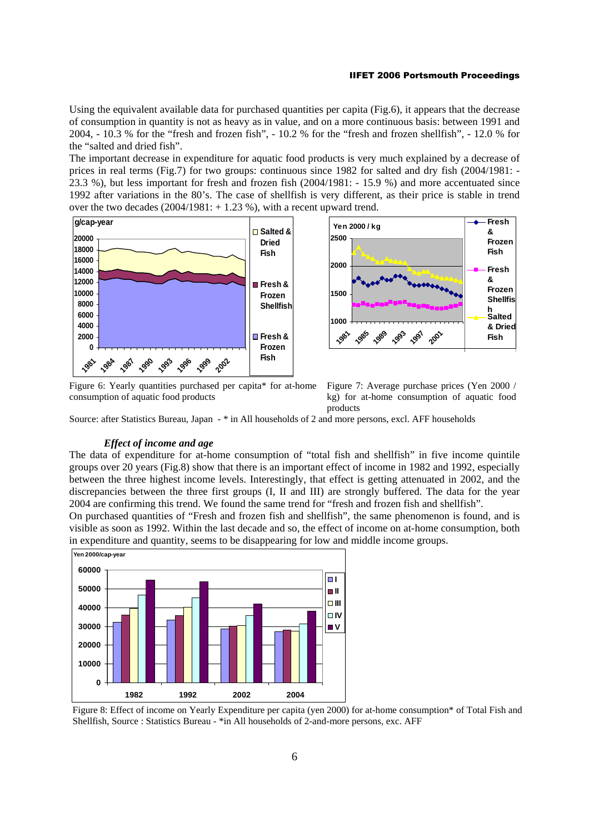Using the equivalent available data for purchased quantities per capita (Fig.6), it appears that the decrease of consumption in quantity is not as heavy as in value, and on a more continuous basis: between 1991 and 2004, - 10.3 % for the "fresh and frozen fish", - 10.2 % for the "fresh and frozen shellfish", - 12.0 % for the "salted and dried fish".

The important decrease in expenditure for aquatic food products is very much explained by a decrease of prices in real terms (Fig.7) for two groups: continuous since 1982 for salted and dry fish (2004/1981: - 23.3 %), but less important for fresh and frozen fish (2004/1981: - 15.9 %) and more accentuated since 1992 after variations in the 80's. The case of shellfish is very different, as their price is stable in trend over the two decades  $(2004/1981: + 1.23\%)$ , with a recent upward trend.



Figure 6: Yearly quantities purchased per capita\* for at-home consumption of aquatic food products



Figure 7: Average purchase prices (Yen 2000 / kg) for at-home consumption of aquatic food products

Source: after Statistics Bureau, Japan - \* in All households of 2 and more persons, excl. AFF households

### *Effect of income and age*

The data of expenditure for at-home consumption of "total fish and shellfish" in five income quintile groups over 20 years (Fig.8) show that there is an important effect of income in 1982 and 1992, especially between the three highest income levels. Interestingly, that effect is getting attenuated in 2002, and the discrepancies between the three first groups (I, II and III) are strongly buffered. The data for the year 2004 are confirming this trend. We found the same trend for "fresh and frozen fish and shellfish".

On purchased quantities of "Fresh and frozen fish and shellfish", the same phenomenon is found, and is visible as soon as 1992. Within the last decade and so, the effect of income on at-home consumption, both in expenditure and quantity, seems to be disappearing for low and middle income groups.



Figure 8: Effect of income on Yearly Expenditure per capita (yen 2000) for at-home consumption\* of Total Fish and Shellfish, Source : Statistics Bureau - \*in All households of 2-and-more persons, exc. AFF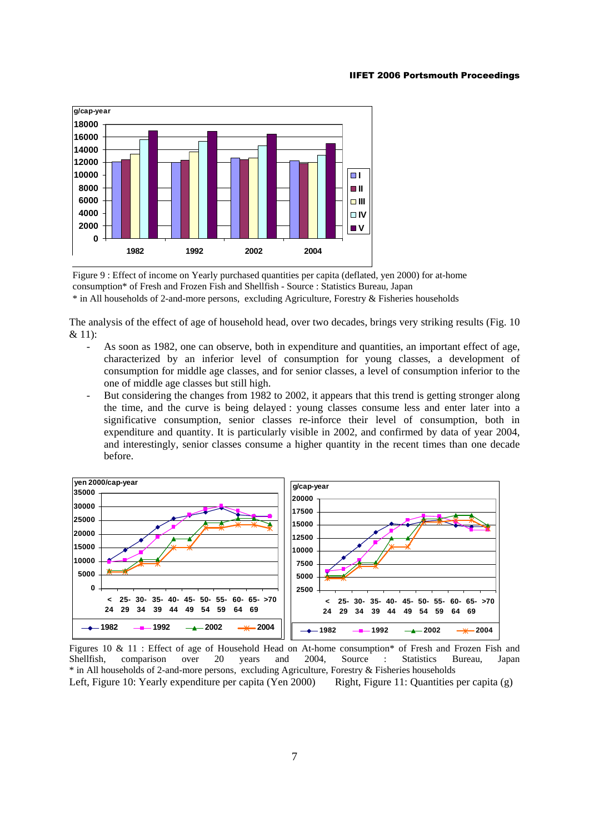

Figure 9 : Effect of income on Yearly purchased quantities per capita (deflated, yen 2000) for at-home consumption\* of Fresh and Frozen Fish and Shellfish - Source : Statistics Bureau, Japan \* in All households of 2-and-more persons, excluding Agriculture, Forestry & Fisheries households

The analysis of the effect of age of household head, over two decades, brings very striking results (Fig. 10 & 11):

- As soon as 1982, one can observe, both in expenditure and quantities, an important effect of age, characterized by an inferior level of consumption for young classes, a development of consumption for middle age classes, and for senior classes, a level of consumption inferior to the one of middle age classes but still high.
- But considering the changes from 1982 to 2002, it appears that this trend is getting stronger along the time, and the curve is being delayed : young classes consume less and enter later into a significative consumption, senior classes re-inforce their level of consumption, both in expenditure and quantity. It is particularly visible in 2002, and confirmed by data of year 2004, and interestingly, senior classes consume a higher quantity in the recent times than one decade before.



Figures 10 & 11 : Effect of age of Household Head on At-home consumption\* of Fresh and Frozen Fish and Shellfish, comparison over 20 years and 2004, Source : Statistics Bureau, Japan Shellfish, comparison over 20 years and 2004, Source : Statistics Bureau, Japan \* in All households of 2-and-more persons, excluding Agriculture, Forestry & Fisheries households Left, Figure 10: Yearly expenditure per capita (Yen 2000) Right, Figure 11: Quantities per capita (g)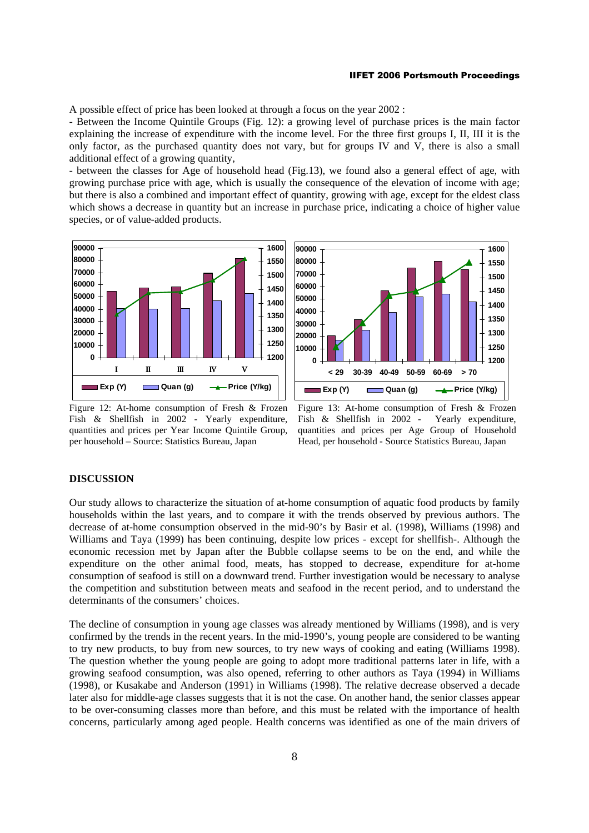A possible effect of price has been looked at through a focus on the year 2002 :

- Between the Income Quintile Groups (Fig. 12): a growing level of purchase prices is the main factor explaining the increase of expenditure with the income level. For the three first groups I, II, III it is the only factor, as the purchased quantity does not vary, but for groups IV and V, there is also a small additional effect of a growing quantity,

- between the classes for Age of household head (Fig.13), we found also a general effect of age, with growing purchase price with age, which is usually the consequence of the elevation of income with age; but there is also a combined and important effect of quantity, growing with age, except for the eldest class which shows a decrease in quantity but an increase in purchase price, indicating a choice of higher value species, or of value-added products.



Figure 12: At-home consumption of Fresh & Frozen Fish & Shellfish in 2002 - Yearly expenditure, quantities and prices per Year Income Quintile Group, per household – Source: Statistics Bureau, Japan



Figure 13: At-home consumption of Fresh & Frozen Fish & Shellfish in 2002 - Yearly expenditure, quantities and prices per Age Group of Household Head, per household - Source Statistics Bureau, Japan

### **DISCUSSION**

Our study allows to characterize the situation of at-home consumption of aquatic food products by family households within the last years, and to compare it with the trends observed by previous authors. The decrease of at-home consumption observed in the mid-90's by Basir et al. (1998), Williams (1998) and Williams and Taya (1999) has been continuing, despite low prices - except for shellfish-. Although the economic recession met by Japan after the Bubble collapse seems to be on the end, and while the expenditure on the other animal food, meats, has stopped to decrease, expenditure for at-home consumption of seafood is still on a downward trend. Further investigation would be necessary to analyse the competition and substitution between meats and seafood in the recent period, and to understand the determinants of the consumers' choices.

The decline of consumption in young age classes was already mentioned by Williams (1998), and is very confirmed by the trends in the recent years. In the mid-1990's, young people are considered to be wanting to try new products, to buy from new sources, to try new ways of cooking and eating (Williams 1998). The question whether the young people are going to adopt more traditional patterns later in life, with a growing seafood consumption, was also opened, referring to other authors as Taya (1994) in Williams (1998), or Kusakabe and Anderson (1991) in Williams (1998). The relative decrease observed a decade later also for middle-age classes suggests that it is not the case. On another hand, the senior classes appear to be over-consuming classes more than before, and this must be related with the importance of health concerns, particularly among aged people. Health concerns was identified as one of the main drivers of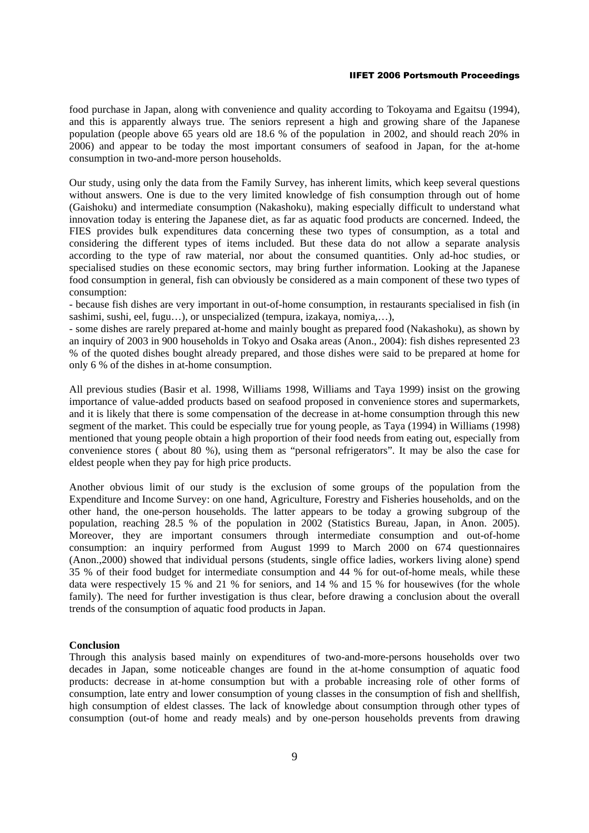food purchase in Japan, along with convenience and quality according to Tokoyama and Egaitsu (1994), and this is apparently always true. The seniors represent a high and growing share of the Japanese population (people above 65 years old are 18.6 % of the population in 2002, and should reach 20% in 2006) and appear to be today the most important consumers of seafood in Japan, for the at-home consumption in two-and-more person households.

Our study, using only the data from the Family Survey, has inherent limits, which keep several questions without answers. One is due to the very limited knowledge of fish consumption through out of home (Gaishoku) and intermediate consumption (Nakashoku), making especially difficult to understand what innovation today is entering the Japanese diet, as far as aquatic food products are concerned. Indeed, the FIES provides bulk expenditures data concerning these two types of consumption, as a total and considering the different types of items included. But these data do not allow a separate analysis according to the type of raw material, nor about the consumed quantities. Only ad-hoc studies, or specialised studies on these economic sectors, may bring further information. Looking at the Japanese food consumption in general, fish can obviously be considered as a main component of these two types of consumption:

- because fish dishes are very important in out-of-home consumption, in restaurants specialised in fish (in sashimi, sushi, eel, fugu…), or unspecialized (tempura, izakaya, nomiya,…),

- some dishes are rarely prepared at-home and mainly bought as prepared food (Nakashoku), as shown by an inquiry of 2003 in 900 households in Tokyo and Osaka areas (Anon., 2004): fish dishes represented 23 % of the quoted dishes bought already prepared, and those dishes were said to be prepared at home for only 6 % of the dishes in at-home consumption.

All previous studies (Basir et al. 1998, Williams 1998, Williams and Taya 1999) insist on the growing importance of value-added products based on seafood proposed in convenience stores and supermarkets, and it is likely that there is some compensation of the decrease in at-home consumption through this new segment of the market. This could be especially true for young people, as Taya (1994) in Williams (1998) mentioned that young people obtain a high proportion of their food needs from eating out, especially from convenience stores ( about 80 %), using them as "personal refrigerators". It may be also the case for eldest people when they pay for high price products.

Another obvious limit of our study is the exclusion of some groups of the population from the Expenditure and Income Survey: on one hand, Agriculture, Forestry and Fisheries households, and on the other hand, the one-person households. The latter appears to be today a growing subgroup of the population, reaching 28.5 % of the population in 2002 (Statistics Bureau, Japan, in Anon. 2005). Moreover, they are important consumers through intermediate consumption and out-of-home consumption: an inquiry performed from August 1999 to March 2000 on 674 questionnaires (Anon.,2000) showed that individual persons (students, single office ladies, workers living alone) spend 35 % of their food budget for intermediate consumption and 44 % for out-of-home meals, while these data were respectively 15 % and 21 % for seniors, and 14 % and 15 % for housewives (for the whole family). The need for further investigation is thus clear, before drawing a conclusion about the overall trends of the consumption of aquatic food products in Japan.

## **Conclusion**

Through this analysis based mainly on expenditures of two-and-more-persons households over two decades in Japan, some noticeable changes are found in the at-home consumption of aquatic food products: decrease in at-home consumption but with a probable increasing role of other forms of consumption, late entry and lower consumption of young classes in the consumption of fish and shellfish, high consumption of eldest classes. The lack of knowledge about consumption through other types of consumption (out-of home and ready meals) and by one-person households prevents from drawing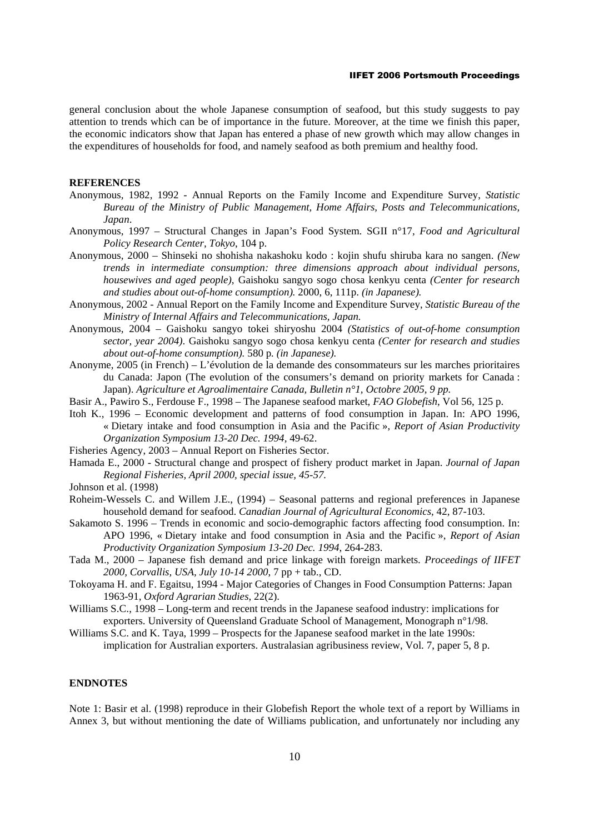general conclusion about the whole Japanese consumption of seafood, but this study suggests to pay attention to trends which can be of importance in the future. Moreover, at the time we finish this paper, the economic indicators show that Japan has entered a phase of new growth which may allow changes in the expenditures of households for food, and namely seafood as both premium and healthy food.

### **REFERENCES**

- Anonymous, 1982, 1992 Annual Reports on the Family Income and Expenditure Survey, *Statistic Bureau of the Ministry of Public Management, Home Affairs, Posts and Telecommunications, Japan*.
- Anonymous, 1997 Structural Changes in Japan's Food System. SGII n°17*, Food and Agricultural Policy Research Center, Tokyo*, 104 p.
- Anonymous, 2000 Shinseki no shohisha nakashoku kodo : kojin shufu shiruba kara no sangen. *(New trends in intermediate consumption: three dimensions approach about individual persons, housewives and aged people)*, Gaishoku sangyo sogo chosa kenkyu centa *(Center for research and studies about out-of-home consumption).* 2000, 6, 111p. *(in Japanese).*
- Anonymous, 2002 Annual Report on the Family Income and Expenditure Survey, *Statistic Bureau of the Ministry of Internal Affairs and Telecommunications, Japan.*
- Anonymous, 2004 Gaishoku sangyo tokei shiryoshu 2004 *(Statistics of out-of-home consumption sector, year 2004)*. Gaishoku sangyo sogo chosa kenkyu centa *(Center for research and studies about out-of-home consumption).* 580 p*. (in Japanese).*
- Anonyme, 2005 (in French) L'évolution de la demande des consommateurs sur les marches prioritaires du Canada: Japon (The evolution of the consumers's demand on priority markets for Canada : Japan). *Agriculture et Agroalimentaire Canada, Bulletin n°1, Octobre 2005, 9 pp.*
- Basir A., Pawiro S., Ferdouse F., 1998 The Japanese seafood market, *FAO Globefish*, Vol 56, 125 p.
- Itoh K., 1996 Economic development and patterns of food consumption in Japan. In: APO 1996, « Dietary intake and food consumption in Asia and the Pacific », *Report of Asian Productivity Organization Symposium 13-20 Dec. 1994,* 49-62.
- Fisheries Agency, 2003 Annual Report on Fisheries Sector.
- Hamada E., 2000 Structural change and prospect of fishery product market in Japan. *Journal of Japan Regional Fisheries, April 2000, special issue, 45-57.*

Johnson et al. (1998)

- Roheim-Wessels C. and Willem J.E., (1994) Seasonal patterns and regional preferences in Japanese household demand for seafood. *Canadian Journal of Agricultural Economics*, 42, 87-103.
- Sakamoto S. 1996 Trends in economic and socio-demographic factors affecting food consumption. In: APO 1996, « Dietary intake and food consumption in Asia and the Pacific », *Report of Asian Productivity Organization Symposium 13-20 Dec. 1994*, 264-283.
- Tada M., 2000 Japanese fish demand and price linkage with foreign markets. *Proceedings of IIFET 2000, Corvallis, USA, July 10-14 2000*, 7 pp + tab., CD.
- Tokoyama H. and F. Egaitsu, 1994 Major Categories of Changes in Food Consumption Patterns: Japan 1963-91, *Oxford Agrarian Studies*, 22(2).
- Williams S.C., 1998 Long-term and recent trends in the Japanese seafood industry: implications for exporters. University of Queensland Graduate School of Management, Monograph n°1/98.
- Williams S.C. and K. Taya, 1999 Prospects for the Japanese seafood market in the late 1990s: implication for Australian exporters. Australasian agribusiness review, Vol. 7, paper 5, 8 p.

## **ENDNOTES**

Note 1: Basir et al. (1998) reproduce in their Globefish Report the whole text of a report by Williams in Annex 3, but without mentioning the date of Williams publication, and unfortunately nor including any